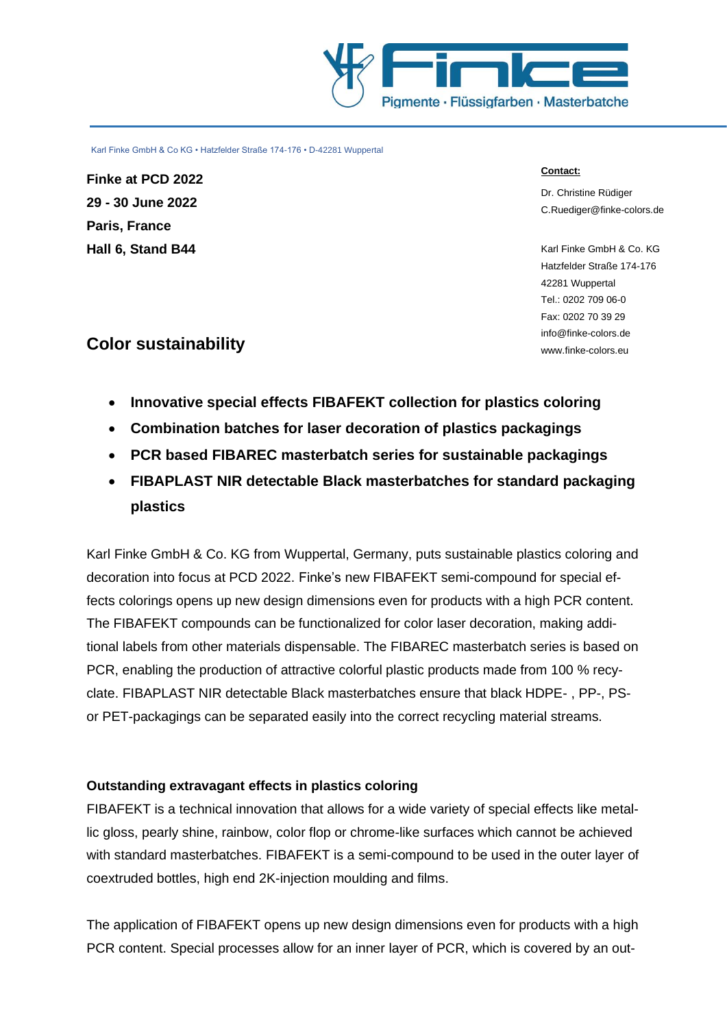

**Finke at PCD 2022 29 - 30 June 2022 Paris, France Hall 6, Stand B44**

#### **Contact:**

Dr. Christine Rüdiger [C.Ruediger@finke-colors.de](mailto:C.Ruediger@finke-colors.de)

Karl Finke GmbH & Co. KG Hatzfelder Straße 174-176 42281 Wuppertal Tel.: 0202 709 06-0 Fax: 0202 70 39 29 [info@finke-colors.de](mailto:info@finke-colors.de) www.finke-colors.eu

# **Color sustainability**

- **Innovative special effects FIBAFEKT collection for plastics coloring**
- **Combination batches for laser decoration of plastics packagings**
- **PCR based FIBAREC masterbatch series for sustainable packagings**
- **FIBAPLAST NIR detectable Black masterbatches for standard packaging plastics**

Karl Finke GmbH & Co. KG from Wuppertal, Germany, puts sustainable plastics coloring and decoration into focus at PCD 2022. Finke's new FIBAFEKT semi-compound for special effects colorings opens up new design dimensions even for products with a high PCR content. The FIBAFEKT compounds can be functionalized for color laser decoration, making additional labels from other materials dispensable. The FIBAREC masterbatch series is based on PCR, enabling the production of attractive colorful plastic products made from 100 % recyclate. FIBAPLAST NIR detectable Black masterbatches ensure that black HDPE- , PP-, PSor PET-packagings can be separated easily into the correct recycling material streams.

# **Outstanding extravagant effects in plastics coloring**

FIBAFEKT is a technical innovation that allows for a wide variety of special effects like metallic gloss, pearly shine, rainbow, color flop or chrome-like surfaces which cannot be achieved with standard masterbatches. FIBAFEKT is a semi-compound to be used in the outer layer of coextruded bottles, high end 2K-injection moulding and films.

The application of FIBAFEKT opens up new design dimensions even for products with a high PCR content. Special processes allow for an inner layer of PCR, which is covered by an out-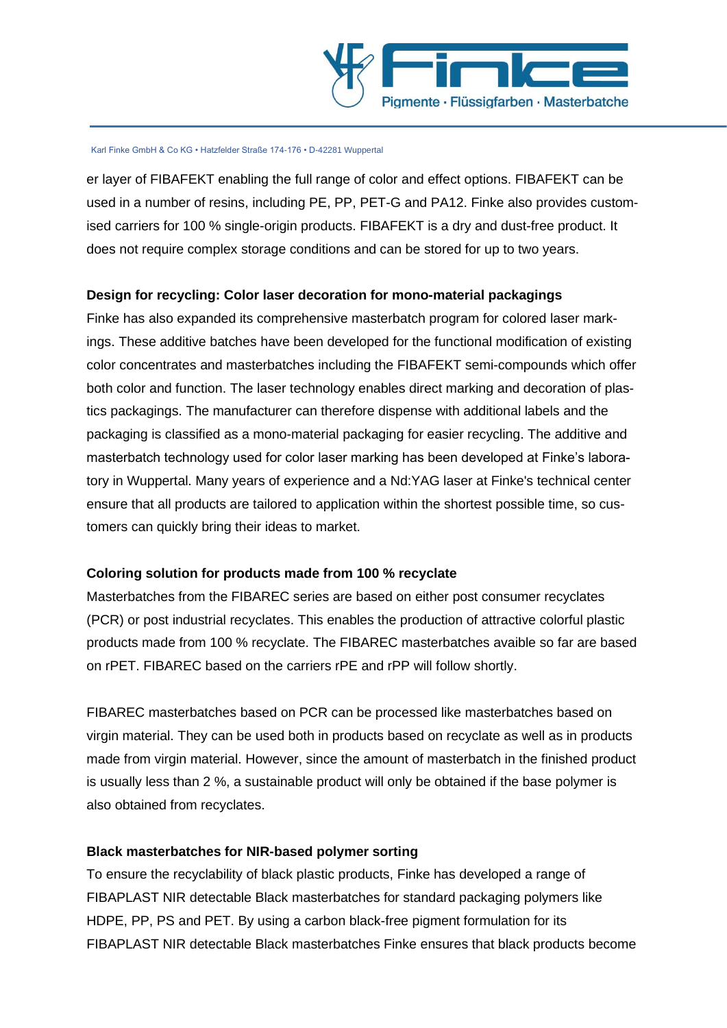

er layer of FIBAFEKT enabling the full range of color and effect options. FIBAFEKT can be used in a number of resins, including PE, PP, PET-G and PA12. Finke also provides customised carriers for 100 % single-origin products. FIBAFEKT is a dry and dust-free product. It does not require complex storage conditions and can be stored for up to two years.

# **Design for recycling: Color laser decoration for mono-material packagings**

Finke has also expanded its comprehensive masterbatch program for colored laser markings. These additive batches have been developed for the functional modification of existing color concentrates and masterbatches including the FIBAFEKT semi-compounds which offer both color and function. The laser technology enables direct marking and decoration of plastics packagings. The manufacturer can therefore dispense with additional labels and the packaging is classified as a mono-material packaging for easier recycling. The additive and masterbatch technology used for color laser marking has been developed at Finke's laboratory in Wuppertal. Many years of experience and a Nd:YAG laser at Finke's technical center ensure that all products are tailored to application within the shortest possible time, so customers can quickly bring their ideas to market.

### **Coloring solution for products made from 100 % recyclate**

Masterbatches from the FIBAREC series are based on either post consumer recyclates (PCR) or post industrial recyclates. This enables the production of attractive colorful plastic products made from 100 % recyclate. The FIBAREC masterbatches avaible so far are based on rPET. FIBAREC based on the carriers rPE and rPP will follow shortly.

FIBAREC masterbatches based on PCR can be processed like masterbatches based on virgin material. They can be used both in products based on recyclate as well as in products made from virgin material. However, since the amount of masterbatch in the finished product is usually less than 2 %, a sustainable product will only be obtained if the base polymer is also obtained from recyclates.

# **Black masterbatches for NIR-based polymer sorting**

To ensure the recyclability of black plastic products, Finke has developed a range of FIBAPLAST NIR detectable Black masterbatches for standard packaging polymers like HDPE, PP, PS and PET. By using a carbon black-free pigment formulation for its FIBAPLAST NIR detectable Black masterbatches Finke ensures that black products become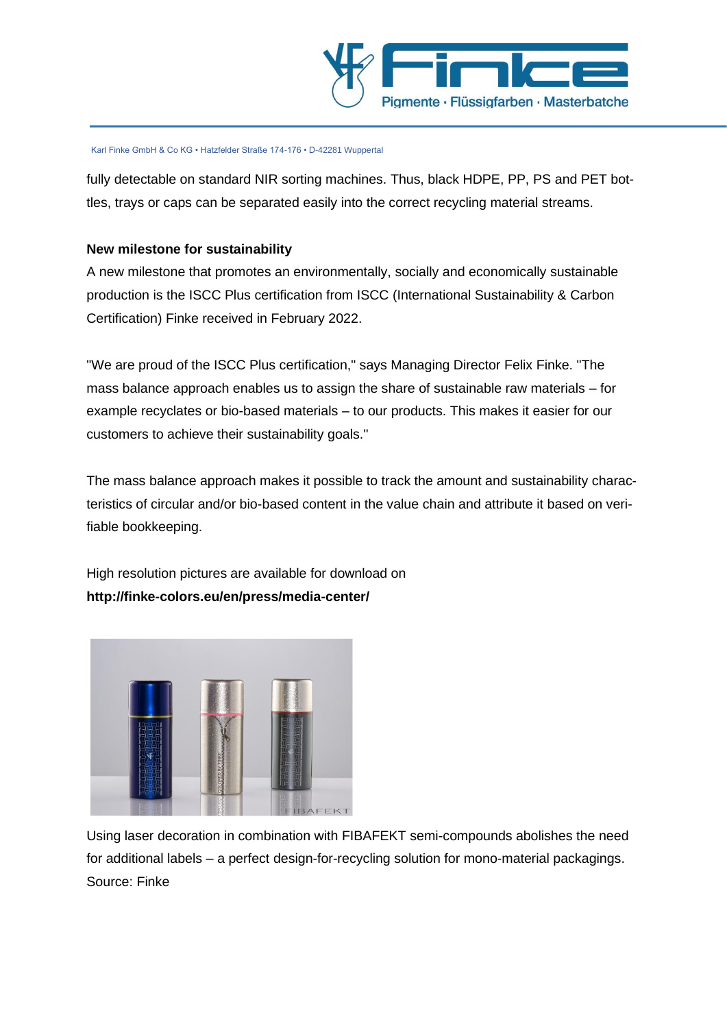

fully detectable on standard NIR sorting machines. Thus, black HDPE, PP, PS and PET bottles, trays or caps can be separated easily into the correct recycling material streams.

### **New milestone for sustainability**

A new milestone that promotes an environmentally, socially and economically sustainable production is the ISCC Plus certification from ISCC (International Sustainability & Carbon Certification) Finke received in February 2022.

"We are proud of the ISCC Plus certification," says Managing Director Felix Finke. "The mass balance approach enables us to assign the share of sustainable raw materials – for example recyclates or bio-based materials – to our products. This makes it easier for our customers to achieve their sustainability goals."

The mass balance approach makes it possible to track the amount and sustainability characteristics of circular and/or bio-based content in the value chain and attribute it based on verifiable bookkeeping.

High resolution pictures are available for download on **<http://finke-colors.eu/en/press/media-center/>**



Using laser decoration in combination with FIBAFEKT semi-compounds abolishes the need for additional labels – a perfect design-for-recycling solution for mono-material packagings. Source: Finke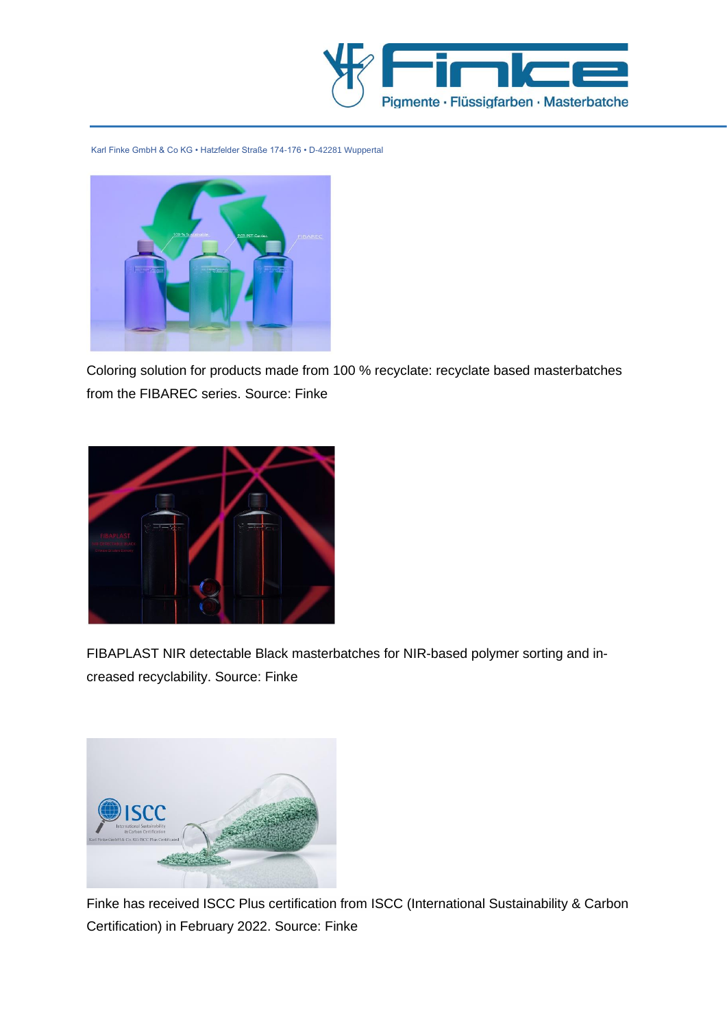



Coloring solution for products made from 100 % recyclate: recyclate based masterbatches from the FIBAREC series. Source: Finke



FIBAPLAST NIR detectable Black masterbatches for NIR-based polymer sorting and increased recyclability. Source: Finke



Finke has received ISCC Plus certification from ISCC (International Sustainability & Carbon Certification) in February 2022. Source: Finke